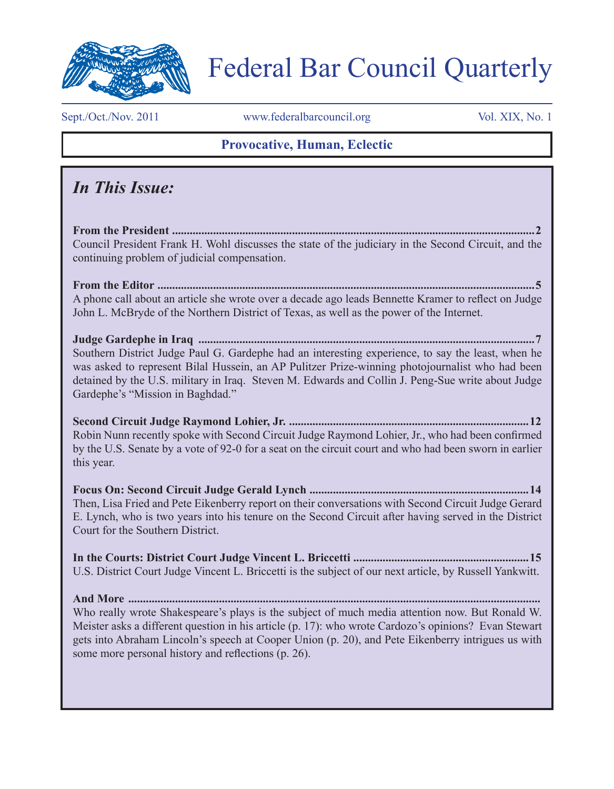

# Federal Bar Council Quarterly

Sept./Oct./Nov. 2011 www.federalbarcouncil.org Vol. XIX, No. 1

### **Provocative, Human, Eclectic**

## *In This Issue:*

**From the President ............................................................................................................................2**  Council President Frank H. Wohl discusses the state of the judiciary in the Second Circuit, and the continuing problem of judicial compensation.

**From the Editor .................................................................................................................................5** A phone call about an article she wrote over a decade ago leads Bennette Kramer to reflect on Judge John L. McBryde of the Northern District of Texas, as well as the power of the Internet.

**Judge Gardephe in Iraq ...................................................................................................................7** Southern District Judge Paul G. Gardephe had an interesting experience, to say the least, when he was asked to represent Bilal Hussein, an AP Pulitzer Prize-winning photojournalist who had been detained by the U.S. military in Iraq. Steven M. Edwards and Collin J. Peng-Sue write about Judge Gardephe's "Mission in Baghdad."

**Second Circuit Judge Raymond Lohier, Jr. ..................................................................................12** Robin Nunn recently spoke with Second Circuit Judge Raymond Lohier, Jr., who had been confirmed by the U.S. Senate by a vote of 92-0 for a seat on the circuit court and who had been sworn in earlier this year.

**Focus On: Second Circuit Judge Gerald Lynch ...........................................................................14** Then, Lisa Fried and Pete Eikenberry report on their conversations with Second Circuit Judge Gerard E. Lynch, who is two years into his tenure on the Second Circuit after having served in the District Court for the Southern District.

**In the Courts: District Court Judge Vincent L. Briccetti ............................................................15** U.S. District Court Judge Vincent L. Briccetti is the subject of our next article, by Russell Yankwitt.

**And More .............................................................................................................................................** Who really wrote Shakespeare's plays is the subject of much media attention now. But Ronald W. Meister asks a different question in his article (p. 17): who wrote Cardozo's opinions? Evan Stewart gets into Abraham Lincoln's speech at Cooper Union (p. 20), and Pete Eikenberry intrigues us with some more personal history and reflections (p. 26).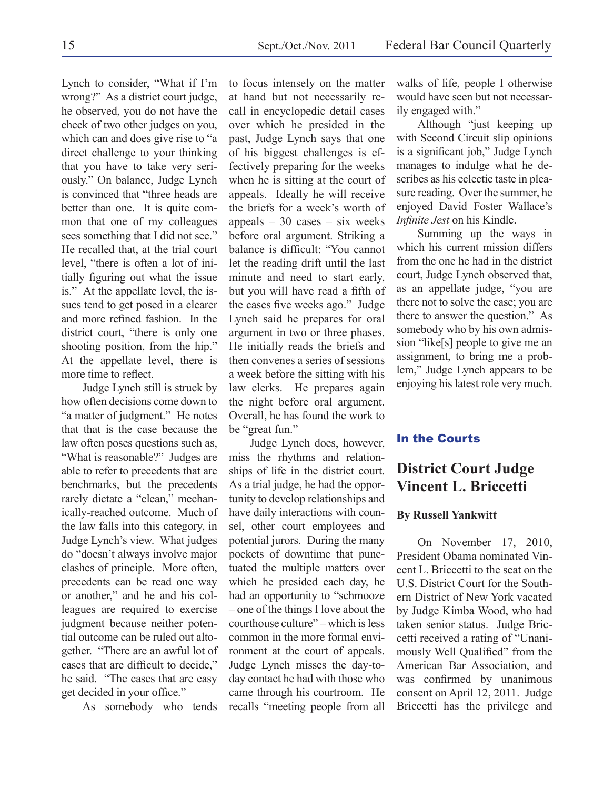Lynch to consider, "What if I'm wrong?" As a district court judge, he observed, you do not have the check of two other judges on you, which can and does give rise to "a direct challenge to your thinking that you have to take very seriously." On balance, Judge Lynch is convinced that "three heads are better than one. It is quite common that one of my colleagues sees something that I did not see." He recalled that, at the trial court level, "there is often a lot of initially figuring out what the issue is." At the appellate level, the issues tend to get posed in a clearer and more refined fashion. In the district court, "there is only one shooting position, from the hip." At the appellate level, there is more time to reflect.

Judge Lynch still is struck by how often decisions come down to "a matter of judgment." He notes that that is the case because the law often poses questions such as, "What is reasonable?" Judges are able to refer to precedents that are benchmarks, but the precedents rarely dictate a "clean," mechanically-reached outcome. Much of the law falls into this category, in Judge Lynch's view. What judges do "doesn't always involve major clashes of principle. More often, precedents can be read one way or another," and he and his colleagues are required to exercise judgment because neither potential outcome can be ruled out altogether. "There are an awful lot of cases that are difficult to decide," he said. "The cases that are easy get decided in your office."

As somebody who tends

to focus intensely on the matter at hand but not necessarily recall in encyclopedic detail cases over which he presided in the past, Judge Lynch says that one of his biggest challenges is effectively preparing for the weeks when he is sitting at the court of appeals. Ideally he will receive the briefs for a week's worth of appeals  $-30$  cases  $-$  six weeks before oral argument. Striking a balance is difficult: "You cannot let the reading drift until the last minute and need to start early, but you will have read a fifth of the cases five weeks ago." Judge Lynch said he prepares for oral argument in two or three phases. He initially reads the briefs and then convenes a series of sessions a week before the sitting with his law clerks. He prepares again the night before oral argument. Overall, he has found the work to be "great fun."

Judge Lynch does, however, miss the rhythms and relationships of life in the district court. As a trial judge, he had the opportunity to develop relationships and have daily interactions with counsel, other court employees and potential jurors. During the many pockets of downtime that punctuated the multiple matters over which he presided each day, he had an opportunity to "schmooze – one of the things I love about the courthouse culture" – which is less common in the more formal environment at the court of appeals. Judge Lynch misses the day-today contact he had with those who came through his courtroom. He recalls "meeting people from all

walks of life, people I otherwise would have seen but not necessarily engaged with."

Although "just keeping up with Second Circuit slip opinions is a significant job," Judge Lynch manages to indulge what he describes as his eclectic taste in pleasure reading. Over the summer, he enjoyed David Foster Wallace's *Infinite Jest* on his Kindle.

Summing up the ways in which his current mission differs from the one he had in the district court, Judge Lynch observed that, as an appellate judge, "you are there not to solve the case; you are there to answer the question." As somebody who by his own admission "like[s] people to give me an assignment, to bring me a problem," Judge Lynch appears to be enjoying his latest role very much.

#### **In the Courts**

## **District Court Judge Vincent L. Briccetti**

#### **By Russell Yankwitt**

On November 17, 2010, President Obama nominated Vincent L. Briccetti to the seat on the U.S. District Court for the Southern District of New York vacated by Judge Kimba Wood, who had taken senior status. Judge Briccetti received a rating of "Unanimously Well Qualified" from the American Bar Association, and was confirmed by unanimous consent on April 12, 2011. Judge Briccetti has the privilege and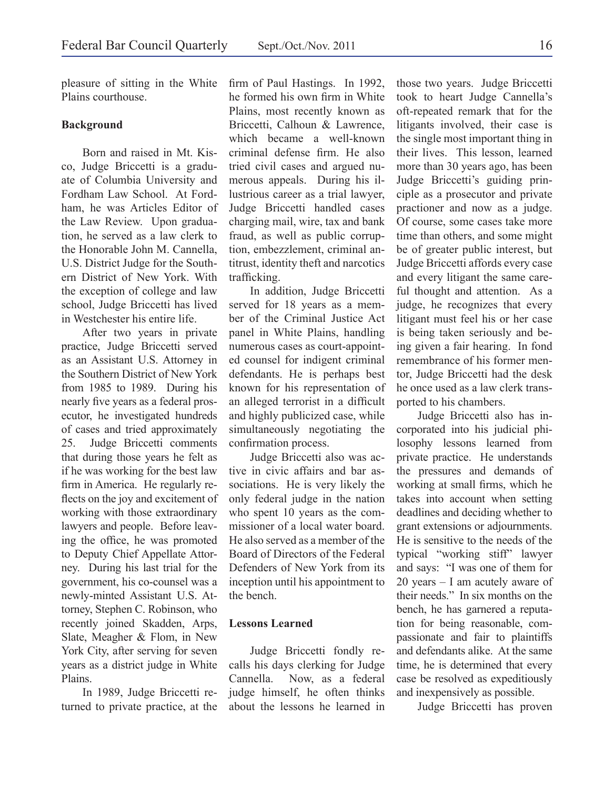pleasure of sitting in the White Plains courthouse.

#### **Background**

Born and raised in Mt. Kisco, Judge Briccetti is a graduate of Columbia University and Fordham Law School. At Fordham, he was Articles Editor of the Law Review. Upon graduation, he served as a law clerk to the Honorable John M. Cannella, U.S. District Judge for the Southern District of New York. With the exception of college and law school, Judge Briccetti has lived in Westchester his entire life.

After two years in private practice, Judge Briccetti served as an Assistant U.S. Attorney in the Southern District of New York from 1985 to 1989. During his nearly five years as a federal prosecutor, he investigated hundreds of cases and tried approximately 25. Judge Briccetti comments that during those years he felt as if he was working for the best law firm in America. He regularly reflects on the joy and excitement of working with those extraordinary lawyers and people. Before leaving the office, he was promoted to Deputy Chief Appellate Attorney. During his last trial for the government, his co-counsel was a newly-minted Assistant U.S. Attorney, Stephen C. Robinson, who recently joined Skadden, Arps, Slate, Meagher & Flom, in New York City, after serving for seven years as a district judge in White Plains.

In 1989, Judge Briccetti returned to private practice, at the firm of Paul Hastings. In 1992, he formed his own firm in White Plains, most recently known as Briccetti, Calhoun & Lawrence, which became a well-known criminal defense firm. He also tried civil cases and argued numerous appeals. During his illustrious career as a trial lawyer, Judge Briccetti handled cases charging mail, wire, tax and bank fraud, as well as public corruption, embezzlement, criminal antitrust, identity theft and narcotics trafficking.

In addition, Judge Briccetti served for 18 years as a member of the Criminal Justice Act panel in White Plains, handling numerous cases as court-appointed counsel for indigent criminal defendants. He is perhaps best known for his representation of an alleged terrorist in a difficult and highly publicized case, while simultaneously negotiating the confirmation process.

Judge Briccetti also was active in civic affairs and bar associations. He is very likely the only federal judge in the nation who spent 10 years as the commissioner of a local water board. He also served as a member of the Board of Directors of the Federal Defenders of New York from its inception until his appointment to the bench.

#### **Lessons Learned**

Judge Briccetti fondly recalls his days clerking for Judge Cannella. Now, as a federal judge himself, he often thinks about the lessons he learned in

those two years. Judge Briccetti took to heart Judge Cannella's oft-repeated remark that for the litigants involved, their case is the single most important thing in their lives. This lesson, learned more than 30 years ago, has been Judge Briccetti's guiding principle as a prosecutor and private practioner and now as a judge. Of course, some cases take more time than others, and some might be of greater public interest, but Judge Briccetti affords every case and every litigant the same careful thought and attention. As a judge, he recognizes that every litigant must feel his or her case is being taken seriously and being given a fair hearing. In fond remembrance of his former mentor, Judge Briccetti had the desk he once used as a law clerk transported to his chambers.

Judge Briccetti also has incorporated into his judicial philosophy lessons learned from private practice. He understands the pressures and demands of working at small firms, which he takes into account when setting deadlines and deciding whether to grant extensions or adjournments. He is sensitive to the needs of the typical "working stiff" lawyer and says: "I was one of them for 20 years – I am acutely aware of their needs." In six months on the bench, he has garnered a reputation for being reasonable, compassionate and fair to plaintiffs and defendants alike. At the same time, he is determined that every case be resolved as expeditiously and inexpensively as possible.

Judge Briccetti has proven